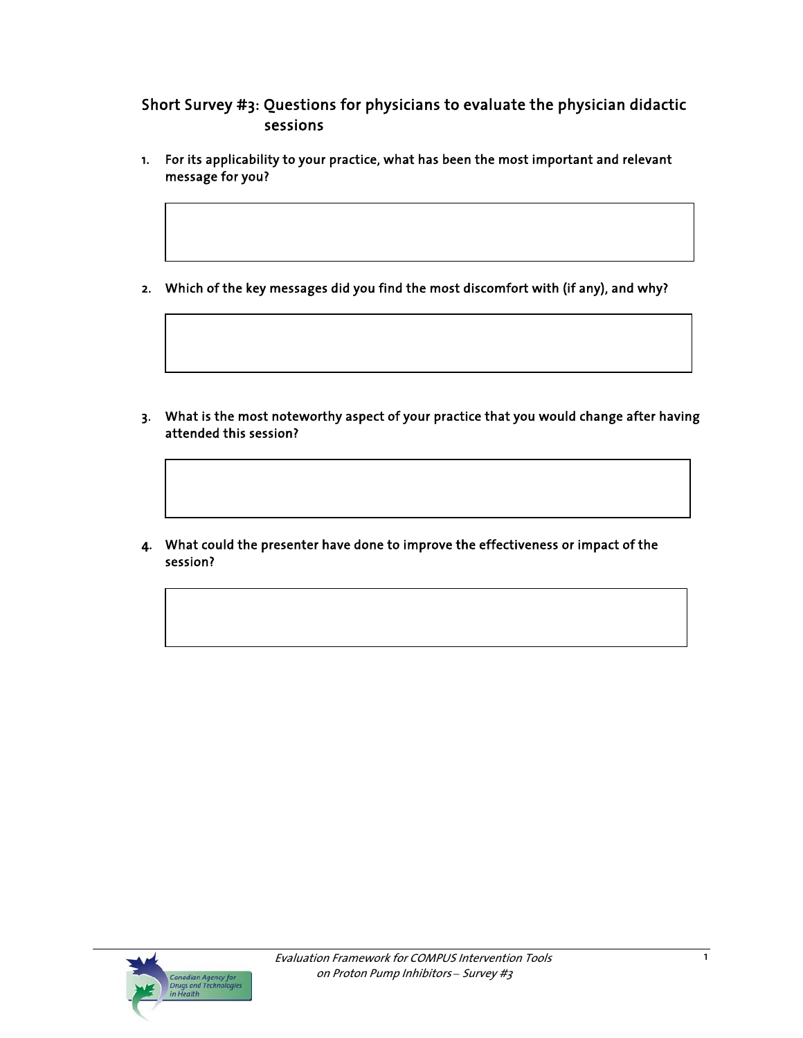# Short Survey #3: Questions for physicians to evaluate the physician didactic sessions

- 1. For its applicability to your practice, what has been the most important and relevant message for you?
- 2. Which of the key messages did you find the most discomfort with (if any), and why?

- 3. What is the most noteworthy aspect of your practice that you would change after having attended this session?
- 4. What could the presenter have done to improve the effectiveness or impact of the session?

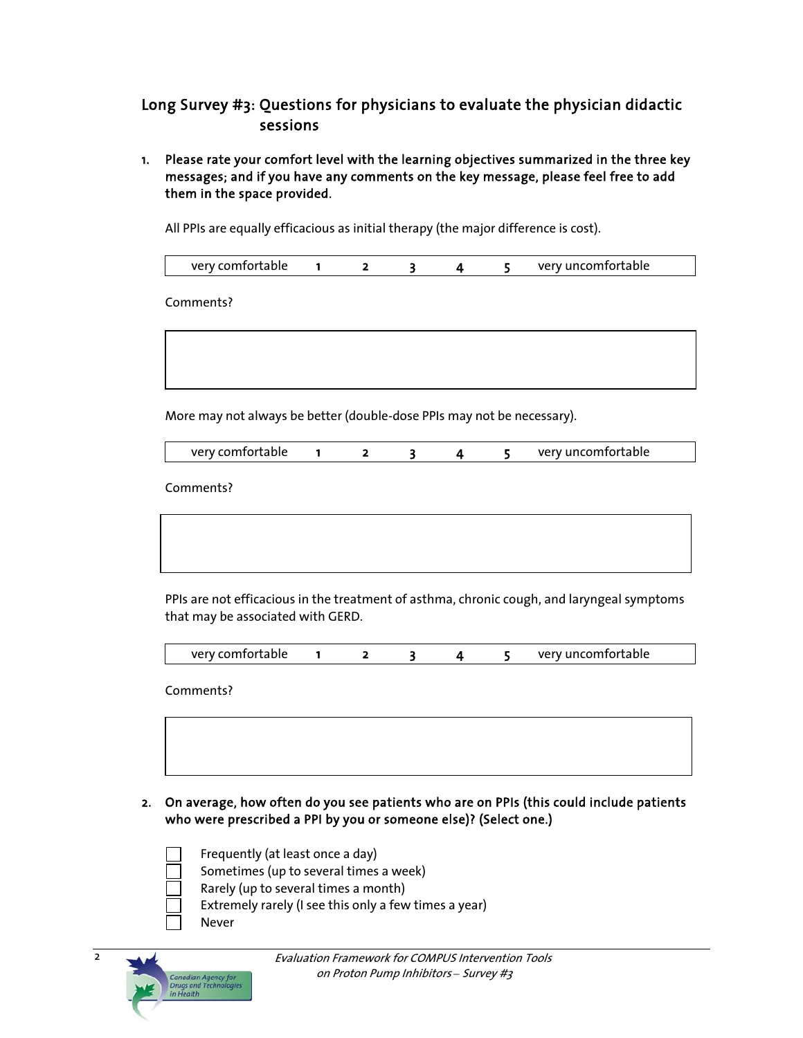## Long Survey #3: Questions for physicians to evaluate the physician didactic sessions

1. Please rate your comfort level with the learning objectives summarized in the three key messages; and if you have any comments on the key message, please feel free to add them in the space provided.

All PPIs are equally efficacious as initial therapy (the major difference is cost).

Comments?

More may not always be better (double-dose PPIs may not be necessary).

| very comfortable |  |  |  |  |  | verv uncomfortable |
|------------------|--|--|--|--|--|--------------------|
|------------------|--|--|--|--|--|--------------------|

Comments?

PPIs are not efficacious in the treatment of asthma, chronic cough, and laryngeal symptoms that may be associated with GERD.

| very comfortable |  |  |  |  |  | very uncomfortable |
|------------------|--|--|--|--|--|--------------------|
|------------------|--|--|--|--|--|--------------------|

Comments?

2. On average, how often do you see patients who are on PPIs (this could include patients who were prescribed a PPI by you or someone else)? (Select one.)

- Frequently (at least once a day)
- Sometimes (up to several times a week)
- Rarely (up to several times a month)
- Extremely rarely (I see this only a few times a year)
- Never

2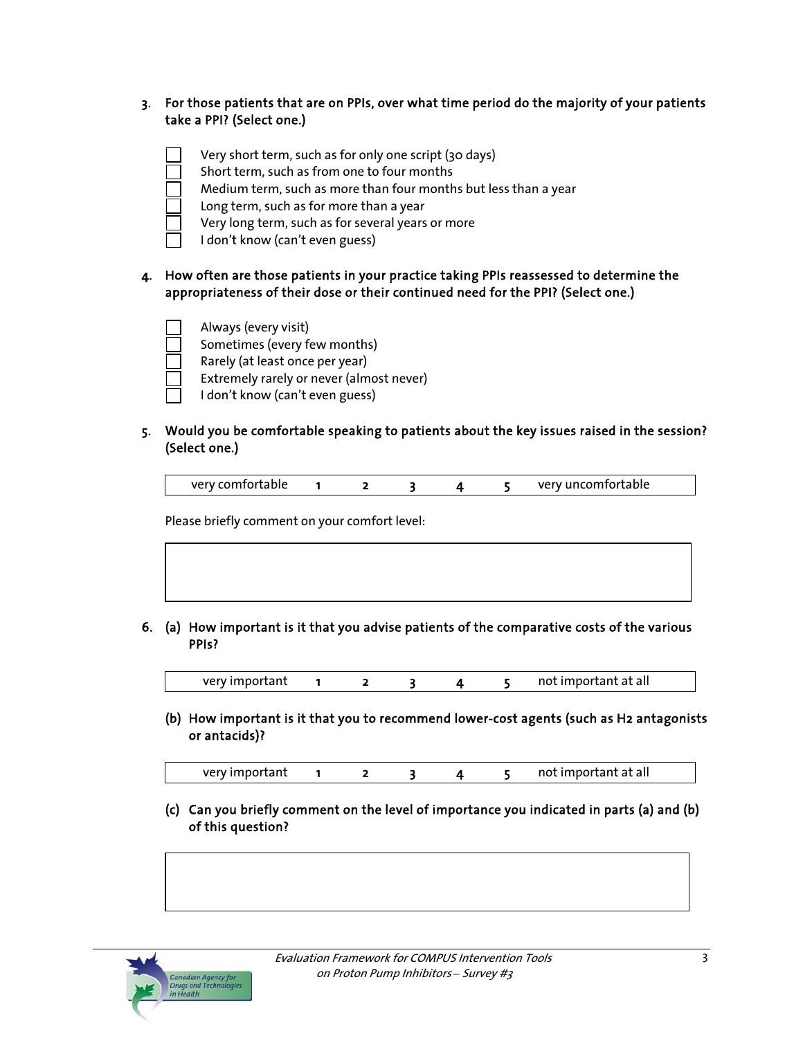### 3. For those patients that are on PPIs, over what time period do the majority of your patients take a PPI? (Select one.)



### 4. How often are those patients in your practice taking PPIs reassessed to determine the appropriateness of their dose or their continued need for the PPI? (Select one.)



### 5. Would you be comfortable speaking to patients about the key issues raised in the session? (Select one.)

| very comfortable |  |  | very uncomfortable |
|------------------|--|--|--------------------|

Please briefly comment on your comfort level:

#### 6. (a) How important is it that you advise patients of the comparative costs of the various PPIs?

very important 1 2 3 4 5 not important at all

 (b) How important is it that you to recommend lower-cost agents (such as H2 antagonists or antacids)?

| very important |  |  |  |  |  | not important at all |
|----------------|--|--|--|--|--|----------------------|
|----------------|--|--|--|--|--|----------------------|

 (c) Can you briefly comment on the level of importance you indicated in parts (a) and (b) of this question?

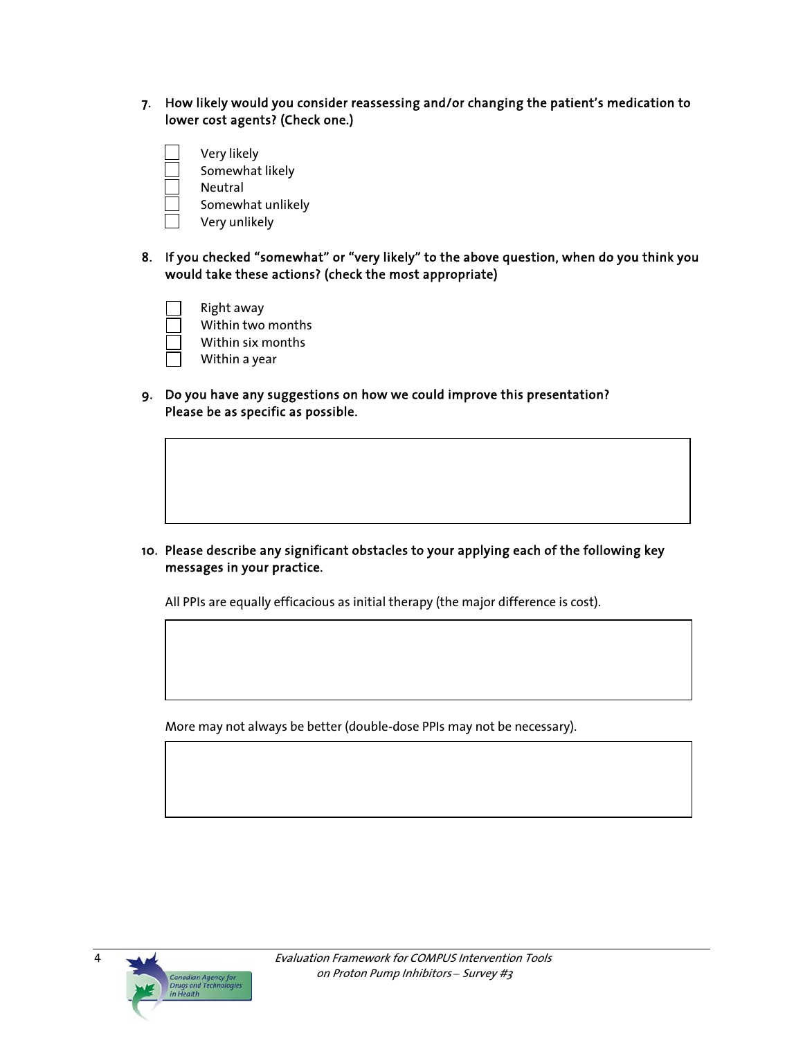- 7. How likely would you consider reassessing and/or changing the patient's medication to lower cost agents? (Check one.)
	- Very likely
		- Somewhat likely
	- Neutral
	- Somewhat unlikely
	- Very unlikely
- 8. If you checked "somewhat" or "very likely" to the above question, when do you think you would take these actions? (check the most appropriate)
	- Right away Within two months Within six months
		- Within a year
- 9. Do you have any suggestions on how we could improve this presentation? Please be as specific as possible.

10. Please describe any significant obstacles to your applying each of the following key messages in your practice.

All PPIs are equally efficacious as initial therapy (the major difference is cost).

More may not always be better (double-dose PPIs may not be necessary).



4